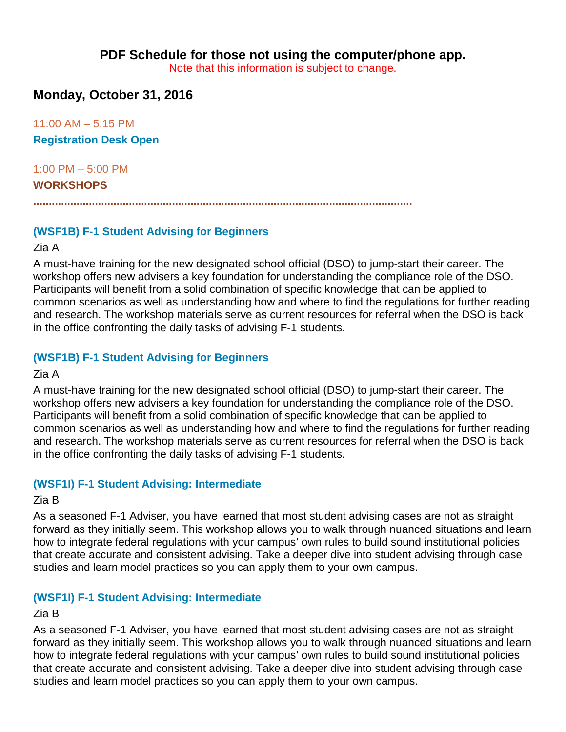**PDF Schedule for those not using the computer/phone app.**

Note that this information is subject to change.

## **Monday, October 31, 2016**

11:00 AM – 5:15 PM

**Registration Desk Open**

1:00 PM – 5:00 PM

#### **WORKSHOPS**

**...........................................................................................................................**

## **(WSF1B) F-1 Student Advising for Beginners**

#### Zia A

A must-have training for the new designated school official (DSO) to jump-start their career. The workshop offers new advisers a key foundation for understanding the compliance role of the DSO. Participants will benefit from a solid combination of specific knowledge that can be applied to common scenarios as well as understanding how and where to find the regulations for further reading and research. The workshop materials serve as current resources for referral when the DSO is back in the office confronting the daily tasks of advising F-1 students.

## **(WSF1B) F-1 Student Advising for Beginners**

#### Zia A

A must-have training for the new designated school official (DSO) to jump-start their career. The workshop offers new advisers a key foundation for understanding the compliance role of the DSO. Participants will benefit from a solid combination of specific knowledge that can be applied to common scenarios as well as understanding how and where to find the regulations for further reading and research. The workshop materials serve as current resources for referral when the DSO is back in the office confronting the daily tasks of advising F-1 students.

## **(WSF1I) F-1 Student Advising: Intermediate**

## Zia B

As a seasoned F-1 Adviser, you have learned that most student advising cases are not as straight forward as they initially seem. This workshop allows you to walk through nuanced situations and learn how to integrate federal regulations with your campus' own rules to build sound institutional policies that create accurate and consistent advising. Take a deeper dive into student advising through case studies and learn model practices so you can apply them to your own campus.

## **(WSF1I) F-1 Student Advising: Intermediate**

#### Zia B

As a seasoned F-1 Adviser, you have learned that most student advising cases are not as straight forward as they initially seem. This workshop allows you to walk through nuanced situations and learn how to integrate federal regulations with your campus' own rules to build sound institutional policies that create accurate and consistent advising. Take a deeper dive into student advising through case studies and learn model practices so you can apply them to your own campus.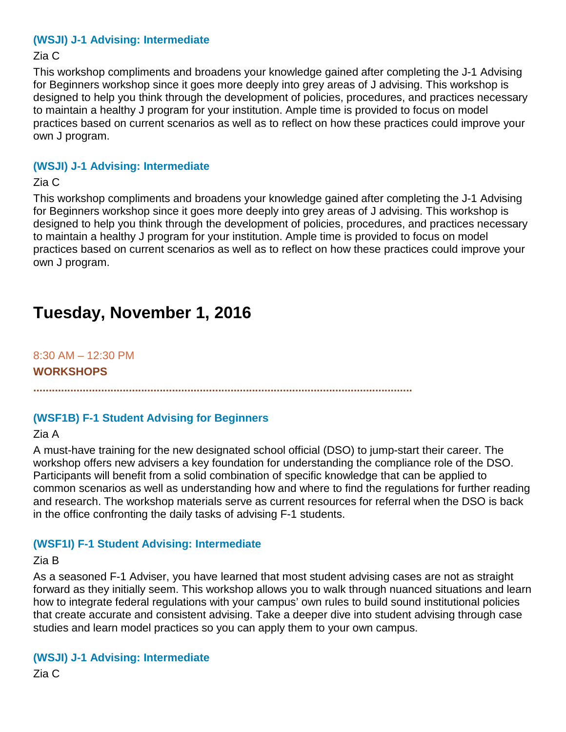#### **(WSJI) J-1 Advising: Intermediate**

#### Zia C

This workshop compliments and broadens your knowledge gained after completing the J-1 Advising for Beginners workshop since it goes more deeply into grey areas of J advising. This workshop is designed to help you think through the development of policies, procedures, and practices necessary to maintain a healthy J program for your institution. Ample time is provided to focus on model practices based on current scenarios as well as to reflect on how these practices could improve your own J program.

#### **(WSJI) J-1 Advising: Intermediate**

#### Zia C

This workshop compliments and broadens your knowledge gained after completing the J-1 Advising for Beginners workshop since it goes more deeply into grey areas of J advising. This workshop is designed to help you think through the development of policies, procedures, and practices necessary to maintain a healthy J program for your institution. Ample time is provided to focus on model practices based on current scenarios as well as to reflect on how these practices could improve your own J program.

# **Tuesday, November 1, 2016**

8:30 AM – 12:30 PM **WORKSHOPS**

**...........................................................................................................................**

## **(WSF1B) F-1 Student Advising for Beginners**

Zia A

A must-have training for the new designated school official (DSO) to jump-start their career. The workshop offers new advisers a key foundation for understanding the compliance role of the DSO. Participants will benefit from a solid combination of specific knowledge that can be applied to common scenarios as well as understanding how and where to find the regulations for further reading and research. The workshop materials serve as current resources for referral when the DSO is back in the office confronting the daily tasks of advising F-1 students.

## **(WSF1I) F-1 Student Advising: Intermediate**

#### Zia B

As a seasoned F-1 Adviser, you have learned that most student advising cases are not as straight forward as they initially seem. This workshop allows you to walk through nuanced situations and learn how to integrate federal regulations with your campus' own rules to build sound institutional policies that create accurate and consistent advising. Take a deeper dive into student advising through case studies and learn model practices so you can apply them to your own campus.

#### **(WSJI) J-1 Advising: Intermediate**

Zia C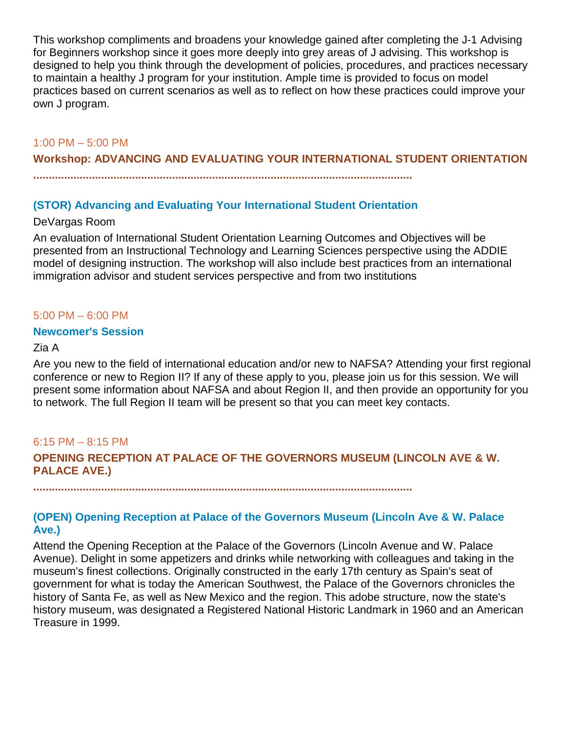This workshop compliments and broadens your knowledge gained after completing the J-1 Advising for Beginners workshop since it goes more deeply into grey areas of J advising. This workshop is designed to help you think through the development of policies, procedures, and practices necessary to maintain a healthy J program for your institution. Ample time is provided to focus on model practices based on current scenarios as well as to reflect on how these practices could improve your own J program.

#### 1:00 PM – 5:00 PM

**Workshop: ADVANCING AND EVALUATING YOUR INTERNATIONAL STUDENT ORIENTATION**

**...........................................................................................................................**

#### **(STOR) Advancing and Evaluating Your International Student Orientation**

#### DeVargas Room

An evaluation of International Student Orientation Learning Outcomes and Objectives will be presented from an Instructional Technology and Learning Sciences perspective using the ADDIE model of designing instruction. The workshop will also include best practices from an international immigration advisor and student services perspective and from two institutions

#### 5:00 PM – 6:00 PM

#### **Newcomer's Session**

#### Zia A

Are you new to the field of international education and/or new to NAFSA? Attending your first regional conference or new to Region II? If any of these apply to you, please join us for this session. We will present some information about NAFSA and about Region II, and then provide an opportunity for you to network. The full Region II team will be present so that you can meet key contacts.

#### 6:15 PM – 8:15 PM

**OPENING RECEPTION AT PALACE OF THE GOVERNORS MUSEUM (LINCOLN AVE & W. PALACE AVE.)**

**...........................................................................................................................**

#### **(OPEN) Opening Reception at Palace of the Governors Museum (Lincoln Ave & W. Palace Ave.)**

Attend the Opening Reception at the Palace of the Governors (Lincoln Avenue and W. Palace Avenue). Delight in some appetizers and drinks while networking with colleagues and taking in the museum's finest collections. Originally constructed in the early 17th century as Spain's seat of government for what is today the American Southwest, the Palace of the Governors chronicles the history of Santa Fe, as well as New Mexico and the region. This adobe structure, now the state's history museum, was designated a Registered National Historic Landmark in 1960 and an American Treasure in 1999.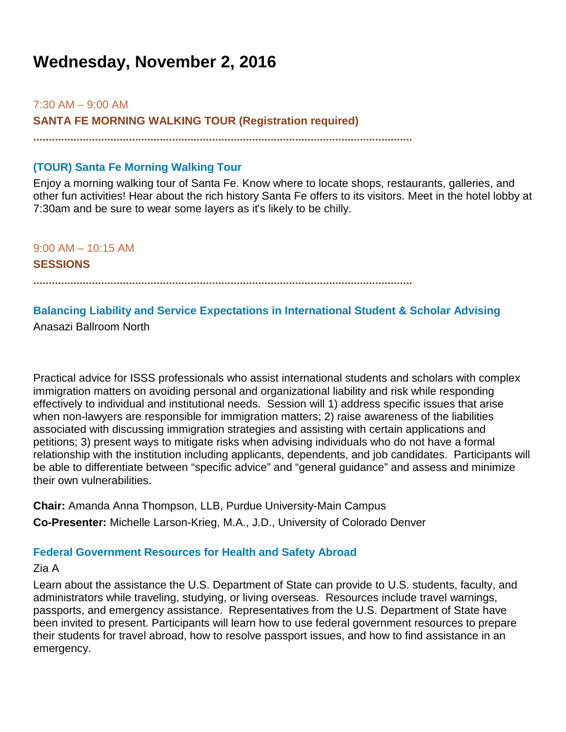# **Wednesday, November 2, 2016**

 $7:30$  AM  $-9:00$  AM

**SANTA FE MORNING WALKING TOUR (Registration required)**

**...........................................................................................................................**

## **(TOUR) Santa Fe Morning Walking Tour**

Enjoy a morning walking tour of Santa Fe. Know where to locate shops, restaurants, galleries, and other fun activities! Hear about the rich history Santa Fe offers to its visitors. Meet in the hotel lobby at 7:30am and be sure to wear some layers as it's likely to be chilly.

9:00 AM – 10:15 AM

**SESSIONS**

**...........................................................................................................................**

#### **Balancing Liability and Service Expectations in International Student & Scholar Advising** Anasazi Ballroom North

Practical advice for ISSS professionals who assist international students and scholars with complex immigration matters on avoiding personal and organizational liability and risk while responding effectively to individual and institutional needs. Session will 1) address specific issues that arise when non-lawyers are responsible for immigration matters; 2) raise awareness of the liabilities associated with discussing immigration strategies and assisting with certain applications and petitions; 3) present ways to mitigate risks when advising individuals who do not have a formal relationship with the institution including applicants, dependents, and job candidates. Participants will be able to differentiate between "specific advice" and "general guidance" and assess and minimize their own vulnerabilities.

**Chair:** Amanda Anna Thompson, LLB, Purdue University-Main Campus **Co-Presenter:** Michelle Larson-Krieg, M.A., J.D., University of Colorado Denver

#### **Federal Government Resources for Health and Safety Abroad**

#### Zia A

Learn about the assistance the U.S. Department of State can provide to U.S. students, faculty, and administrators while traveling, studying, or living overseas. Resources include travel warnings, passports, and emergency assistance. Representatives from the U.S. Department of State have been invited to present. Participants will learn how to use federal government resources to prepare their students for travel abroad, how to resolve passport issues, and how to find assistance in an emergency.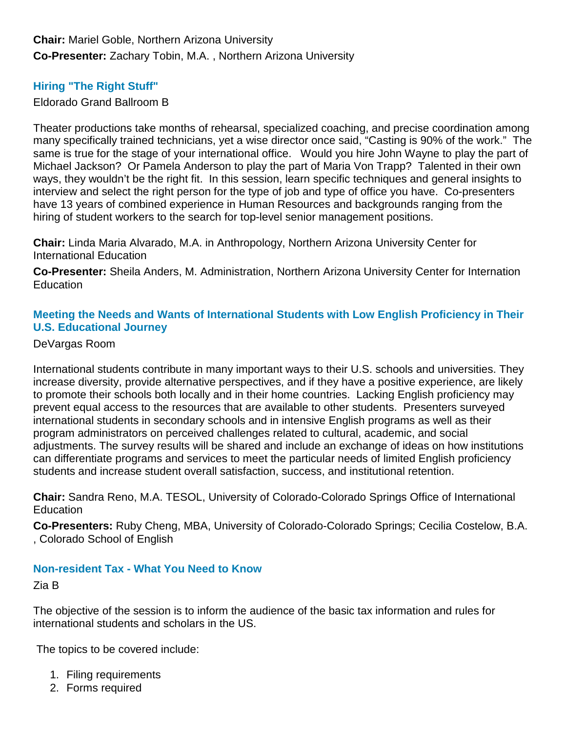**Chair:** Mariel Goble, Northern Arizona University **Co-Presenter:** Zachary Tobin, M.A. , Northern Arizona University

## **Hiring "The Right Stuff"**

Eldorado Grand Ballroom B

Theater productions take months of rehearsal, specialized coaching, and precise coordination among many specifically trained technicians, yet a wise director once said, "Casting is 90% of the work." The same is true for the stage of your international office. Would you hire John Wayne to play the part of Michael Jackson? Or Pamela Anderson to play the part of Maria Von Trapp? Talented in their own ways, they wouldn't be the right fit. In this session, learn specific techniques and general insights to interview and select the right person for the type of job and type of office you have. Co-presenters have 13 years of combined experience in Human Resources and backgrounds ranging from the hiring of student workers to the search for top-level senior management positions.

**Chair:** Linda Maria Alvarado, M.A. in Anthropology, Northern Arizona University Center for International Education

**Co-Presenter:** Sheila Anders, M. Administration, Northern Arizona University Center for Internation **Education** 

## **Meeting the Needs and Wants of International Students with Low English Proficiency in Their U.S. Educational Journey**

#### DeVargas Room

International students contribute in many important ways to their U.S. schools and universities. They increase diversity, provide alternative perspectives, and if they have a positive experience, are likely to promote their schools both locally and in their home countries. Lacking English proficiency may prevent equal access to the resources that are available to other students. Presenters surveyed international students in secondary schools and in intensive English programs as well as their program administrators on perceived challenges related to cultural, academic, and social adjustments. The survey results will be shared and include an exchange of ideas on how institutions can differentiate programs and services to meet the particular needs of limited English proficiency students and increase student overall satisfaction, success, and institutional retention.

**Chair:** Sandra Reno, M.A. TESOL, University of Colorado-Colorado Springs Office of International **Education** 

**Co-Presenters:** Ruby Cheng, MBA, University of Colorado-Colorado Springs; Cecilia Costelow, B.A. , Colorado School of English

#### **Non-resident Tax - What You Need to Know**

Zia B

The objective of the session is to inform the audience of the basic tax information and rules for international students and scholars in the US.

The topics to be covered include:

- 1. Filing requirements
- 2. Forms required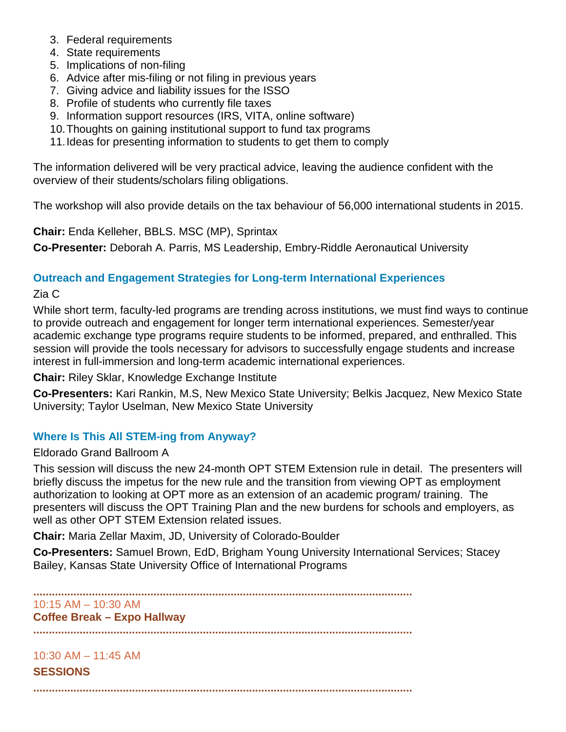- 3. Federal requirements
- 4. State requirements
- 5. Implications of non-filing
- 6. Advice after mis-filing or not filing in previous years
- 7. Giving advice and liability issues for the ISSO
- 8. Profile of students who currently file taxes
- 9. Information support resources (IRS, VITA, online software)
- 10.Thoughts on gaining institutional support to fund tax programs
- 11.Ideas for presenting information to students to get them to comply

The information delivered will be very practical advice, leaving the audience confident with the overview of their students/scholars filing obligations.

The workshop will also provide details on the tax behaviour of 56,000 international students in 2015.

**Chair:** Enda Kelleher, BBLS. MSC (MP), Sprintax

**Co-Presenter:** Deborah A. Parris, MS Leadership, Embry-Riddle Aeronautical University

## **Outreach and Engagement Strategies for Long-term International Experiences**

Zia C

While short term, faculty-led programs are trending across institutions, we must find ways to continue to provide outreach and engagement for longer term international experiences. Semester/year academic exchange type programs require students to be informed, prepared, and enthralled. This session will provide the tools necessary for advisors to successfully engage students and increase interest in full-immersion and long-term academic international experiences.

**Chair:** Riley Sklar, Knowledge Exchange Institute

**Co-Presenters:** Kari Rankin, M.S, New Mexico State University; Belkis Jacquez, New Mexico State University; Taylor Uselman, New Mexico State University

## **Where Is This All STEM-ing from Anyway?**

#### Eldorado Grand Ballroom A

This session will discuss the new 24-month OPT STEM Extension rule in detail. The presenters will briefly discuss the impetus for the new rule and the transition from viewing OPT as employment authorization to looking at OPT more as an extension of an academic program/ training. The presenters will discuss the OPT Training Plan and the new burdens for schools and employers, as well as other OPT STEM Extension related issues.

**Chair:** Maria Zellar Maxim, JD, University of Colorado-Boulder

**Co-Presenters:** Samuel Brown, EdD, Brigham Young University International Services; Stacey Bailey, Kansas State University Office of International Programs

**...........................................................................................................................** 10:15 AM – 10:30 AM **Coffee Break – Expo Hallway ...........................................................................................................................**

## 10:30 AM – 11:45 AM

**SESSIONS**

**...........................................................................................................................**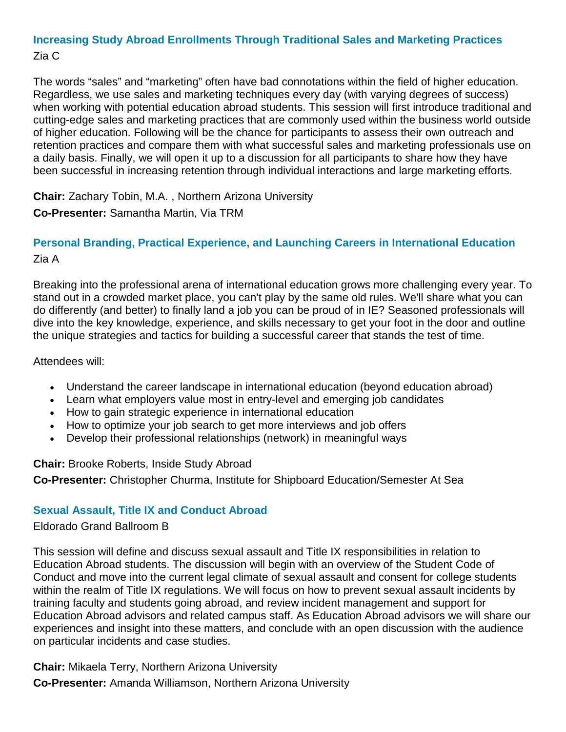## **Increasing Study Abroad Enrollments Through Traditional Sales and Marketing Practices** Zia C

The words "sales" and "marketing" often have bad connotations within the field of higher education. Regardless, we use sales and marketing techniques every day (with varying degrees of success) when working with potential education abroad students. This session will first introduce traditional and cutting-edge sales and marketing practices that are commonly used within the business world outside of higher education. Following will be the chance for participants to assess their own outreach and retention practices and compare them with what successful sales and marketing professionals use on a daily basis. Finally, we will open it up to a discussion for all participants to share how they have been successful in increasing retention through individual interactions and large marketing efforts.

**Chair:** Zachary Tobin, M.A. , Northern Arizona University

## **Co-Presenter:** Samantha Martin, Via TRM

## **Personal Branding, Practical Experience, and Launching Careers in International Education** Zia A

Breaking into the professional arena of international education grows more challenging every year. To stand out in a crowded market place, you can't play by the same old rules. We'll share what you can do differently (and better) to finally land a job you can be proud of in IE? Seasoned professionals will dive into the key knowledge, experience, and skills necessary to get your foot in the door and outline the unique strategies and tactics for building a successful career that stands the test of time.

#### Attendees will:

- Understand the career landscape in international education (beyond education abroad)
- Learn what employers value most in entry-level and emerging job candidates
- How to gain strategic experience in international education
- How to optimize your job search to get more interviews and job offers
- Develop their professional relationships (network) in meaningful ways

## **Chair:** Brooke Roberts, Inside Study Abroad

**Co-Presenter:** Christopher Churma, Institute for Shipboard Education/Semester At Sea

## **Sexual Assault, Title IX and Conduct Abroad**

## Eldorado Grand Ballroom B

This session will define and discuss sexual assault and Title IX responsibilities in relation to Education Abroad students. The discussion will begin with an overview of the Student Code of Conduct and move into the current legal climate of sexual assault and consent for college students within the realm of Title IX regulations. We will focus on how to prevent sexual assault incidents by training faculty and students going abroad, and review incident management and support for Education Abroad advisors and related campus staff. As Education Abroad advisors we will share our experiences and insight into these matters, and conclude with an open discussion with the audience on particular incidents and case studies.

**Chair:** Mikaela Terry, Northern Arizona University **Co-Presenter:** Amanda Williamson, Northern Arizona University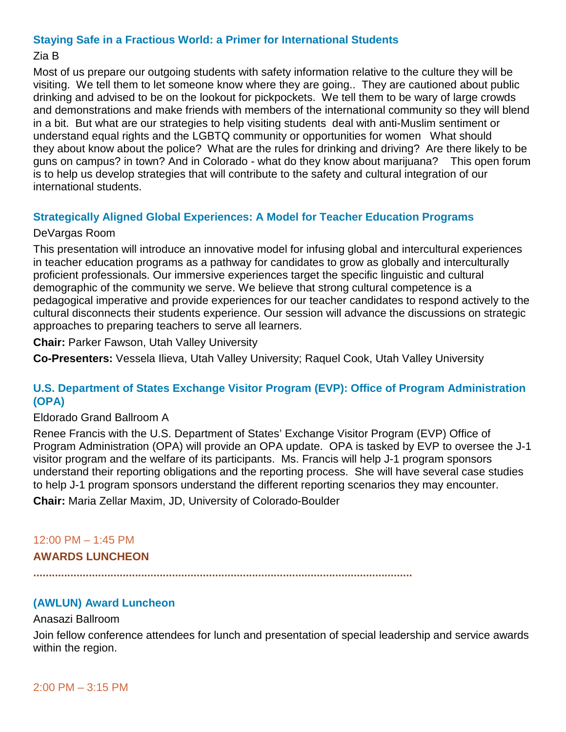#### **Staying Safe in a Fractious World: a Primer for International Students**

## Zia B

Most of us prepare our outgoing students with safety information relative to the culture they will be visiting. We tell them to let someone know where they are going.. They are cautioned about public drinking and advised to be on the lookout for pickpockets. We tell them to be wary of large crowds and demonstrations and make friends with members of the international community so they will blend in a bit. But what are our strategies to help visiting students deal with anti-Muslim sentiment or understand equal rights and the LGBTQ community or opportunities for women What should they about know about the police? What are the rules for drinking and driving? Are there likely to be guns on campus? in town? And in Colorado - what do they know about marijuana? This open forum is to help us develop strategies that will contribute to the safety and cultural integration of our international students.

## **Strategically Aligned Global Experiences: A Model for Teacher Education Programs**

#### DeVargas Room

This presentation will introduce an innovative model for infusing global and intercultural experiences in teacher education programs as a pathway for candidates to grow as globally and interculturally proficient professionals. Our immersive experiences target the specific linguistic and cultural demographic of the community we serve. We believe that strong cultural competence is a pedagogical imperative and provide experiences for our teacher candidates to respond actively to the cultural disconnects their students experience. Our session will advance the discussions on strategic approaches to preparing teachers to serve all learners.

**Chair:** Parker Fawson, Utah Valley University

**Co-Presenters:** Vessela Ilieva, Utah Valley University; Raquel Cook, Utah Valley University

#### **U.S. Department of States Exchange Visitor Program (EVP): Office of Program Administration (OPA)**

#### Eldorado Grand Ballroom A

Renee Francis with the U.S. Department of States' Exchange Visitor Program (EVP) Office of Program Administration (OPA) will provide an OPA update. OPA is tasked by EVP to oversee the J-1 visitor program and the welfare of its participants. Ms. Francis will help J-1 program sponsors understand their reporting obligations and the reporting process. She will have several case studies to help J-1 program sponsors understand the different reporting scenarios they may encounter. **Chair:** Maria Zellar Maxim, JD, University of Colorado-Boulder

# 12:00 PM – 1:45 PM

#### **AWARDS LUNCHEON**

**...........................................................................................................................**

## **(AWLUN) Award Luncheon**

#### Anasazi Ballroom

Join fellow conference attendees for lunch and presentation of special leadership and service awards within the region.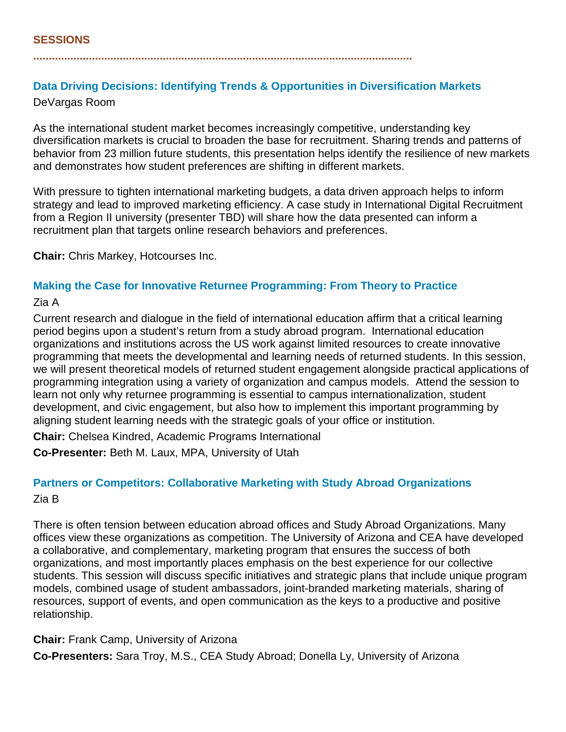#### **...........................................................................................................................**

# **Data Driving Decisions: Identifying Trends & Opportunities in Diversification Markets**

DeVargas Room

As the international student market becomes increasingly competitive, understanding key diversification markets is crucial to broaden the base for recruitment. Sharing trends and patterns of behavior from 23 million future students, this presentation helps identify the resilience of new markets and demonstrates how student preferences are shifting in different markets.

With pressure to tighten international marketing budgets, a data driven approach helps to inform strategy and lead to improved marketing efficiency. A case study in International Digital Recruitment from a Region II university (presenter TBD) will share how the data presented can inform a recruitment plan that targets online research behaviors and preferences.

**Chair:** Chris Markey, Hotcourses Inc.

## **Making the Case for Innovative Returnee Programming: From Theory to Practice**

#### Zia A

Current research and dialogue in the field of international education affirm that a critical learning period begins upon a student's return from a study abroad program. International education organizations and institutions across the US work against limited resources to create innovative programming that meets the developmental and learning needs of returned students. In this session, we will present theoretical models of returned student engagement alongside practical applications of programming integration using a variety of organization and campus models. Attend the session to learn not only why returnee programming is essential to campus internationalization, student development, and civic engagement, but also how to implement this important programming by aligning student learning needs with the strategic goals of your office or institution.

**Chair:** Chelsea Kindred, Academic Programs International **Co-Presenter:** Beth M. Laux, MPA, University of Utah

## **Partners or Competitors: Collaborative Marketing with Study Abroad Organizations** Zia B

There is often tension between education abroad offices and Study Abroad Organizations. Many offices view these organizations as competition. The University of Arizona and CEA have developed a collaborative, and complementary, marketing program that ensures the success of both organizations, and most importantly places emphasis on the best experience for our collective students. This session will discuss specific initiatives and strategic plans that include unique program models, combined usage of student ambassadors, joint-branded marketing materials, sharing of resources, support of events, and open communication as the keys to a productive and positive relationship.

**Chair:** Frank Camp, University of Arizona **Co-Presenters:** Sara Troy, M.S., CEA Study Abroad; Donella Ly, University of Arizona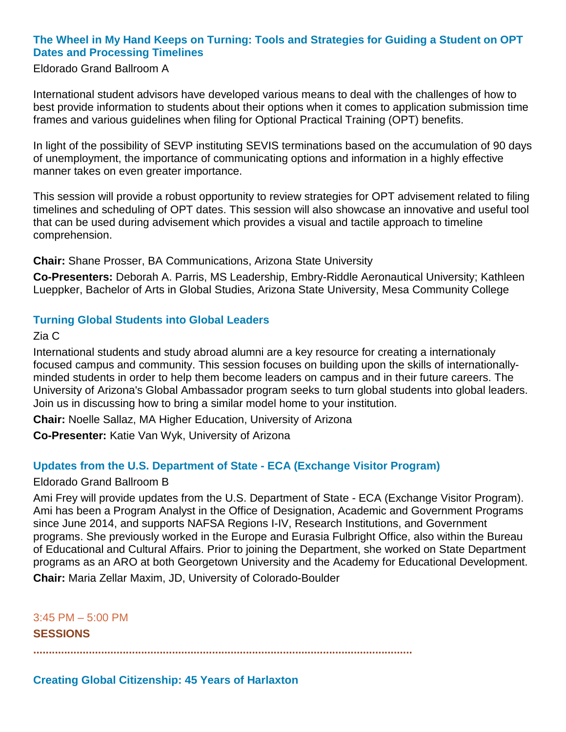## **The Wheel in My Hand Keeps on Turning: Tools and Strategies for Guiding a Student on OPT Dates and Processing Timelines**

#### Eldorado Grand Ballroom A

International student advisors have developed various means to deal with the challenges of how to best provide information to students about their options when it comes to application submission time frames and various guidelines when filing for Optional Practical Training (OPT) benefits.

In light of the possibility of SEVP instituting SEVIS terminations based on the accumulation of 90 days of unemployment, the importance of communicating options and information in a highly effective manner takes on even greater importance.

This session will provide a robust opportunity to review strategies for OPT advisement related to filing timelines and scheduling of OPT dates. This session will also showcase an innovative and useful tool that can be used during advisement which provides a visual and tactile approach to timeline comprehension.

**Chair:** Shane Prosser, BA Communications, Arizona State University

**Co-Presenters:** Deborah A. Parris, MS Leadership, Embry-Riddle Aeronautical University; Kathleen Lueppker, Bachelor of Arts in Global Studies, Arizona State University, Mesa Community College

## **Turning Global Students into Global Leaders**

Zia C

International students and study abroad alumni are a key resource for creating a internationaly focused campus and community. This session focuses on building upon the skills of internationallyminded students in order to help them become leaders on campus and in their future careers. The University of Arizona's Global Ambassador program seeks to turn global students into global leaders. Join us in discussing how to bring a similar model home to your institution.

**Chair:** Noelle Sallaz, MA Higher Education, University of Arizona

**Co-Presenter:** Katie Van Wyk, University of Arizona

## **Updates from the U.S. Department of State - ECA (Exchange Visitor Program)**

#### Eldorado Grand Ballroom B

Ami Frey will provide updates from the U.S. Department of State - ECA (Exchange Visitor Program). Ami has been a Program Analyst in the Office of Designation, Academic and Government Programs since June 2014, and supports NAFSA Regions I-IV, Research Institutions, and Government programs. She previously worked in the Europe and Eurasia Fulbright Office, also within the Bureau of Educational and Cultural Affairs. Prior to joining the Department, she worked on State Department programs as an ARO at both Georgetown University and the Academy for Educational Development.

**Chair:** Maria Zellar Maxim, JD, University of Colorado-Boulder

3:45 PM – 5:00 PM

**SESSIONS**

**...........................................................................................................................**

## **Creating Global Citizenship: 45 Years of Harlaxton**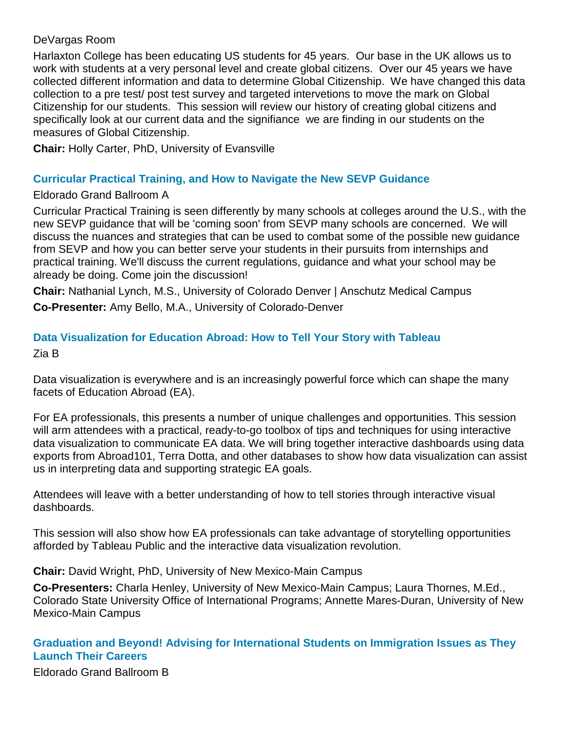## DeVargas Room

Harlaxton College has been educating US students for 45 years. Our base in the UK allows us to work with students at a very personal level and create global citizens. Over our 45 years we have collected different information and data to determine Global Citizenship. We have changed this data collection to a pre test/ post test survey and targeted intervetions to move the mark on Global Citizenship for our students. This session will review our history of creating global citizens and specifically look at our current data and the signifiance we are finding in our students on the measures of Global Citizenship.

**Chair:** Holly Carter, PhD, University of Evansville

#### **Curricular Practical Training, and How to Navigate the New SEVP Guidance**

#### Eldorado Grand Ballroom A

Curricular Practical Training is seen differently by many schools at colleges around the U.S., with the new SEVP guidance that will be 'coming soon' from SEVP many schools are concerned. We will discuss the nuances and strategies that can be used to combat some of the possible new guidance from SEVP and how you can better serve your students in their pursuits from internships and practical training. We'll discuss the current regulations, guidance and what your school may be already be doing. Come join the discussion!

**Chair:** Nathanial Lynch, M.S., University of Colorado Denver | Anschutz Medical Campus **Co-Presenter:** Amy Bello, M.A., University of Colorado-Denver

## **Data Visualization for Education Abroad: How to Tell Your Story with Tableau**

Zia B

Data visualization is everywhere and is an increasingly powerful force which can shape the many facets of Education Abroad (EA).

For EA professionals, this presents a number of unique challenges and opportunities. This session will arm attendees with a practical, ready-to-go toolbox of tips and techniques for using interactive data visualization to communicate EA data. We will bring together interactive dashboards using data exports from Abroad101, Terra Dotta, and other databases to show how data visualization can assist us in interpreting data and supporting strategic EA goals.

Attendees will leave with a better understanding of how to tell stories through interactive visual dashboards.

This session will also show how EA professionals can take advantage of storytelling opportunities afforded by Tableau Public and the interactive data visualization revolution.

**Chair:** David Wright, PhD, University of New Mexico-Main Campus

**Co-Presenters:** Charla Henley, University of New Mexico-Main Campus; Laura Thornes, M.Ed., Colorado State University Office of International Programs; Annette Mares-Duran, University of New Mexico-Main Campus

## **Graduation and Beyond! Advising for International Students on Immigration Issues as They Launch Their Careers**

Eldorado Grand Ballroom B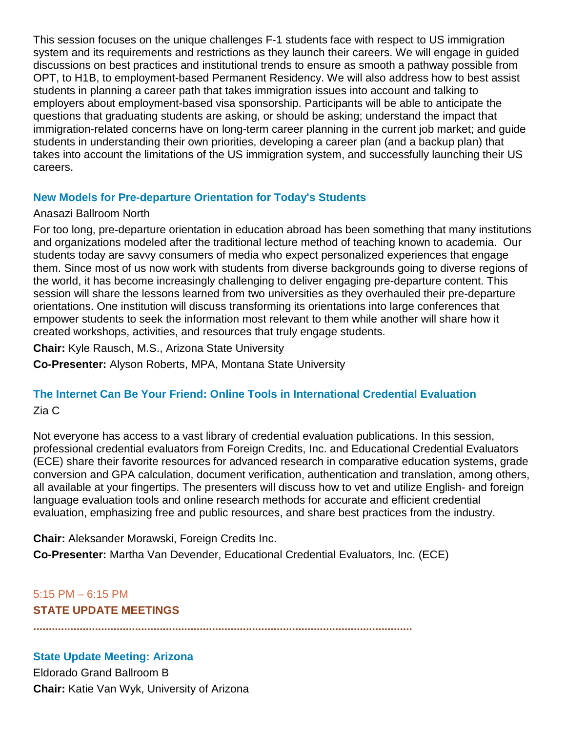This session focuses on the unique challenges F-1 students face with respect to US immigration system and its requirements and restrictions as they launch their careers. We will engage in guided discussions on best practices and institutional trends to ensure as smooth a pathway possible from OPT, to H1B, to employment-based Permanent Residency. We will also address how to best assist students in planning a career path that takes immigration issues into account and talking to employers about employment-based visa sponsorship. Participants will be able to anticipate the questions that graduating students are asking, or should be asking; understand the impact that immigration-related concerns have on long-term career planning in the current job market; and guide students in understanding their own priorities, developing a career plan (and a backup plan) that takes into account the limitations of the US immigration system, and successfully launching their US careers.

## **New Models for Pre-departure Orientation for Today's Students**

#### Anasazi Ballroom North

For too long, pre-departure orientation in education abroad has been something that many institutions and organizations modeled after the traditional lecture method of teaching known to academia. Our students today are savvy consumers of media who expect personalized experiences that engage them. Since most of us now work with students from diverse backgrounds going to diverse regions of the world, it has become increasingly challenging to deliver engaging pre-departure content. This session will share the lessons learned from two universities as they overhauled their pre-departure orientations. One institution will discuss transforming its orientations into large conferences that empower students to seek the information most relevant to them while another will share how it created workshops, activities, and resources that truly engage students.

**Chair:** Kyle Rausch, M.S., Arizona State University

**Co-Presenter:** Alyson Roberts, MPA, Montana State University

## **The Internet Can Be Your Friend: Online Tools in International Credential Evaluation**

## Zia C

Not everyone has access to a vast library of credential evaluation publications. In this session, professional credential evaluators from Foreign Credits, Inc. and Educational Credential Evaluators (ECE) share their favorite resources for advanced research in comparative education systems, grade conversion and GPA calculation, document verification, authentication and translation, among others, all available at your fingertips. The presenters will discuss how to vet and utilize English- and foreign language evaluation tools and online research methods for accurate and efficient credential evaluation, emphasizing free and public resources, and share best practices from the industry.

**Chair:** Aleksander Morawski, Foreign Credits Inc.

**Co-Presenter:** Martha Van Devender, Educational Credential Evaluators, Inc. (ECE)

## 5:15 PM – 6:15 PM **STATE UPDATE MEETINGS**

**...........................................................................................................................**

## **State Update Meeting: Arizona**

Eldorado Grand Ballroom B **Chair:** Katie Van Wyk, University of Arizona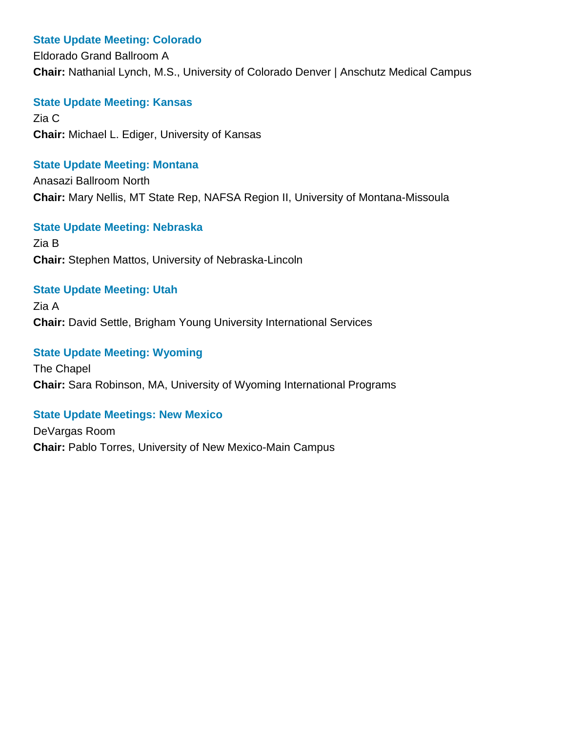#### **State Update Meeting: Colorado**

Eldorado Grand Ballroom A **Chair:** Nathanial Lynch, M.S., University of Colorado Denver | Anschutz Medical Campus

**State Update Meeting: Kansas**

Zia C **Chair:** Michael L. Ediger, University of Kansas

#### **State Update Meeting: Montana**

Anasazi Ballroom North **Chair:** Mary Nellis, MT State Rep, NAFSA Region II, University of Montana-Missoula

#### **State Update Meeting: Nebraska**

Zia B **Chair:** Stephen Mattos, University of Nebraska-Lincoln

#### **State Update Meeting: Utah**

Zia A **Chair:** David Settle, Brigham Young University International Services

## **State Update Meeting: Wyoming**

The Chapel **Chair:** Sara Robinson, MA, University of Wyoming International Programs

## **State Update Meetings: New Mexico**

DeVargas Room **Chair:** Pablo Torres, University of New Mexico-Main Campus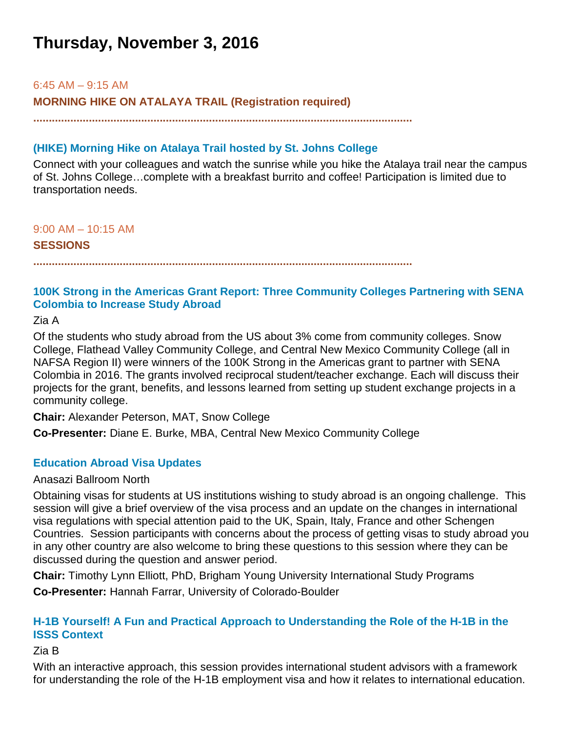# **Thursday, November 3, 2016**

#### 6:45 AM – 9:15 AM

**MORNING HIKE ON ATALAYA TRAIL (Registration required)**

**...........................................................................................................................**

## **(HIKE) Morning Hike on Atalaya Trail hosted by St. Johns College**

Connect with your colleagues and watch the sunrise while you hike the Atalaya trail near the campus of St. Johns College…complete with a breakfast burrito and coffee! Participation is limited due to transportation needs.

9:00 AM – 10:15 AM

**SESSIONS**

**...........................................................................................................................**

## **100K Strong in the Americas Grant Report: Three Community Colleges Partnering with SENA Colombia to Increase Study Abroad**

Zia A

Of the students who study abroad from the US about 3% come from community colleges. Snow College, Flathead Valley Community College, and Central New Mexico Community College (all in NAFSA Region II) were winners of the 100K Strong in the Americas grant to partner with SENA Colombia in 2016. The grants involved reciprocal student/teacher exchange. Each will discuss their projects for the grant, benefits, and lessons learned from setting up student exchange projects in a community college.

**Chair:** Alexander Peterson, MAT, Snow College

**Co-Presenter:** Diane E. Burke, MBA, Central New Mexico Community College

## **Education Abroad Visa Updates**

#### Anasazi Ballroom North

Obtaining visas for students at US institutions wishing to study abroad is an ongoing challenge. This session will give a brief overview of the visa process and an update on the changes in international visa regulations with special attention paid to the UK, Spain, Italy, France and other Schengen Countries. Session participants with concerns about the process of getting visas to study abroad you in any other country are also welcome to bring these questions to this session where they can be discussed during the question and answer period.

**Chair:** Timothy Lynn Elliott, PhD, Brigham Young University International Study Programs **Co-Presenter:** Hannah Farrar, University of Colorado-Boulder

## **H-1B Yourself! A Fun and Practical Approach to Understanding the Role of the H-1B in the ISSS Context**

#### Zia B

With an interactive approach, this session provides international student advisors with a framework for understanding the role of the H-1B employment visa and how it relates to international education.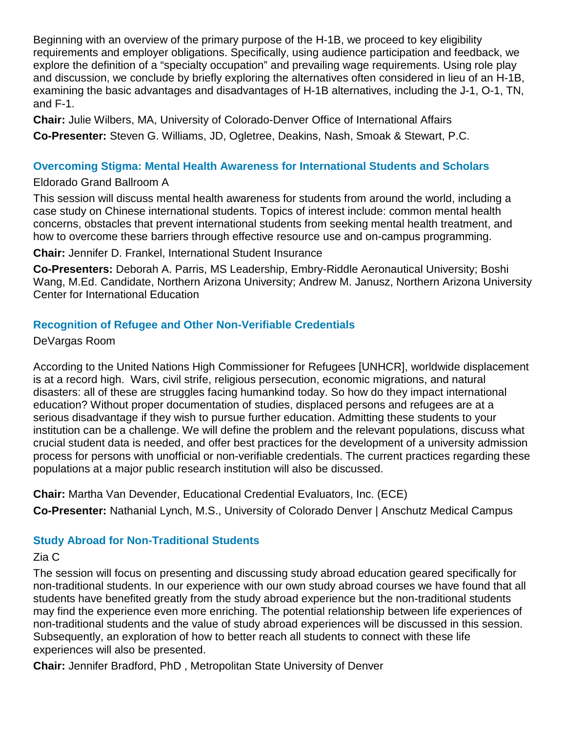Beginning with an overview of the primary purpose of the H-1B, we proceed to key eligibility requirements and employer obligations. Specifically, using audience participation and feedback, we explore the definition of a "specialty occupation" and prevailing wage requirements. Using role play and discussion, we conclude by briefly exploring the alternatives often considered in lieu of an H-1B, examining the basic advantages and disadvantages of H-1B alternatives, including the J-1, O-1, TN, and F-1.

**Chair:** Julie Wilbers, MA, University of Colorado-Denver Office of International Affairs **Co-Presenter:** Steven G. Williams, JD, Ogletree, Deakins, Nash, Smoak & Stewart, P.C.

#### **Overcoming Stigma: Mental Health Awareness for International Students and Scholars**

#### Eldorado Grand Ballroom A

This session will discuss mental health awareness for students from around the world, including a case study on Chinese international students. Topics of interest include: common mental health concerns, obstacles that prevent international students from seeking mental health treatment, and how to overcome these barriers through effective resource use and on-campus programming.

**Chair:** Jennifer D. Frankel, International Student Insurance

**Co-Presenters:** Deborah A. Parris, MS Leadership, Embry-Riddle Aeronautical University; Boshi Wang, M.Ed. Candidate, Northern Arizona University; Andrew M. Janusz, Northern Arizona University Center for International Education

## **Recognition of Refugee and Other Non-Verifiable Credentials**

DeVargas Room

According to the United Nations High Commissioner for Refugees [UNHCR], worldwide displacement is at a record high. Wars, civil strife, religious persecution, economic migrations, and natural disasters: all of these are struggles facing humankind today. So how do they impact international education? Without proper documentation of studies, displaced persons and refugees are at a serious disadvantage if they wish to pursue further education. Admitting these students to your institution can be a challenge. We will define the problem and the relevant populations, discuss what crucial student data is needed, and offer best practices for the development of a university admission process for persons with unofficial or non-verifiable credentials. The current practices regarding these populations at a major public research institution will also be discussed.

**Chair:** Martha Van Devender, Educational Credential Evaluators, Inc. (ECE) **Co-Presenter:** Nathanial Lynch, M.S., University of Colorado Denver | Anschutz Medical Campus

## **Study Abroad for Non-Traditional Students**

## Zia C

The session will focus on presenting and discussing study abroad education geared specifically for non-traditional students. In our experience with our own study abroad courses we have found that all students have benefited greatly from the study abroad experience but the non-traditional students may find the experience even more enriching. The potential relationship between life experiences of non-traditional students and the value of study abroad experiences will be discussed in this session. Subsequently, an exploration of how to better reach all students to connect with these life experiences will also be presented.

**Chair:** Jennifer Bradford, PhD , Metropolitan State University of Denver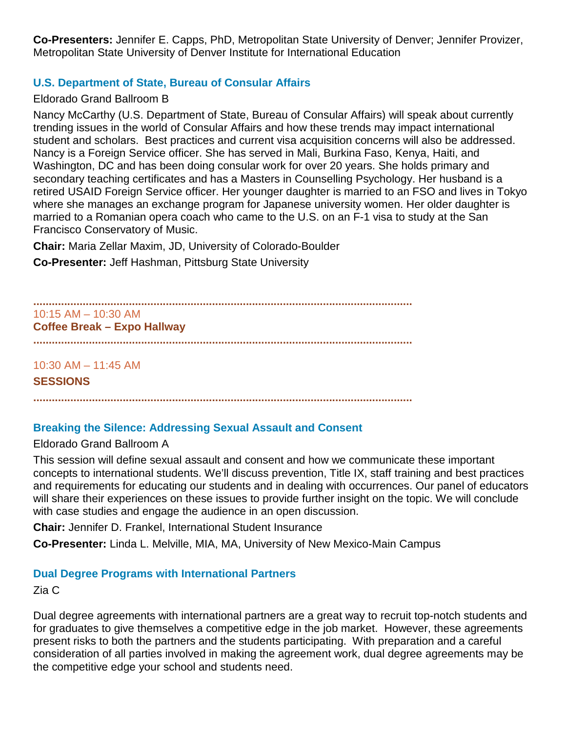**Co-Presenters:** Jennifer E. Capps, PhD, Metropolitan State University of Denver; Jennifer Provizer, Metropolitan State University of Denver Institute for International Education

## **U.S. Department of State, Bureau of Consular Affairs**

#### Eldorado Grand Ballroom B

Nancy McCarthy (U.S. Department of State, Bureau of Consular Affairs) will speak about currently trending issues in the world of Consular Affairs and how these trends may impact international student and scholars. Best practices and current visa acquisition concerns will also be addressed. Nancy is a Foreign Service officer. She has served in Mali, Burkina Faso, Kenya, Haiti, and Washington, DC and has been doing consular work for over 20 years. She holds primary and secondary teaching certificates and has a Masters in Counselling Psychology. Her husband is a retired USAID Foreign Service officer. Her younger daughter is married to an FSO and lives in Tokyo where she manages an exchange program for Japanese university women. Her older daughter is married to a Romanian opera coach who came to the U.S. on an F-1 visa to study at the San Francisco Conservatory of Music.

**Chair:** Maria Zellar Maxim, JD, University of Colorado-Boulder

**Co-Presenter:** Jeff Hashman, Pittsburg State University

**...........................................................................................................................** 10:15 AM – 10:30 AM **Coffee Break – Expo Hallway ...........................................................................................................................**

10:30 AM – 11:45 AM

#### **SESSIONS**

**...........................................................................................................................**

## **Breaking the Silence: Addressing Sexual Assault and Consent**

#### Eldorado Grand Ballroom A

This session will define sexual assault and consent and how we communicate these important concepts to international students. We'll discuss prevention, Title IX, staff training and best practices and requirements for educating our students and in dealing with occurrences. Our panel of educators will share their experiences on these issues to provide further insight on the topic. We will conclude with case studies and engage the audience in an open discussion.

**Chair:** Jennifer D. Frankel, International Student Insurance

**Co-Presenter:** Linda L. Melville, MIA, MA, University of New Mexico-Main Campus

## **Dual Degree Programs with International Partners**

Zia C

Dual degree agreements with international partners are a great way to recruit top-notch students and for graduates to give themselves a competitive edge in the job market. However, these agreements present risks to both the partners and the students participating. With preparation and a careful consideration of all parties involved in making the agreement work, dual degree agreements may be the competitive edge your school and students need.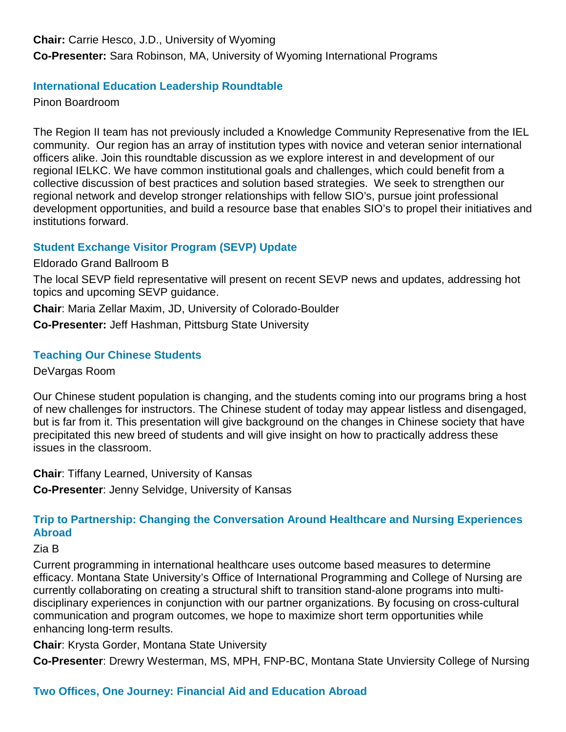**Chair:** Carrie Hesco, J.D., University of Wyoming

**Co-Presenter:** Sara Robinson, MA, University of Wyoming International Programs

## **International Education Leadership Roundtable**

Pinon Boardroom

The Region II team has not previously included a Knowledge Community Represenative from the IEL community. Our region has an array of institution types with novice and veteran senior international officers alike. Join this roundtable discussion as we explore interest in and development of our regional IELKC. We have common institutional goals and challenges, which could benefit from a collective discussion of best practices and solution based strategies. We seek to strengthen our regional network and develop stronger relationships with fellow SIO's, pursue joint professional development opportunities, and build a resource base that enables SIO's to propel their initiatives and institutions forward.

## **Student Exchange Visitor Program (SEVP) Update**

Eldorado Grand Ballroom B

The local SEVP field representative will present on recent SEVP news and updates, addressing hot topics and upcoming SEVP guidance.

**Chair**: Maria Zellar Maxim, JD, University of Colorado-Boulder

**Co-Presenter:** Jeff Hashman, Pittsburg State University

## **Teaching Our Chinese Students**

DeVargas Room

Our Chinese student population is changing, and the students coming into our programs bring a host of new challenges for instructors. The Chinese student of today may appear listless and disengaged, but is far from it. This presentation will give background on the changes in Chinese society that have precipitated this new breed of students and will give insight on how to practically address these issues in the classroom.

**Chair**: Tiffany Learned, University of Kansas **Co-Presenter**: Jenny Selvidge, University of Kansas

## **Trip to Partnership: Changing the Conversation Around Healthcare and Nursing Experiences Abroad**

Zia B

Current programming in international healthcare uses outcome based measures to determine efficacy. Montana State University's Office of International Programming and College of Nursing are currently collaborating on creating a structural shift to transition stand-alone programs into multidisciplinary experiences in conjunction with our partner organizations. By focusing on cross-cultural communication and program outcomes, we hope to maximize short term opportunities while enhancing long-term results.

**Chair**: Krysta Gorder, Montana State University

**Co-Presenter**: Drewry Westerman, MS, MPH, FNP-BC, Montana State Unviersity College of Nursing

## **Two Offices, One Journey: Financial Aid and Education Abroad**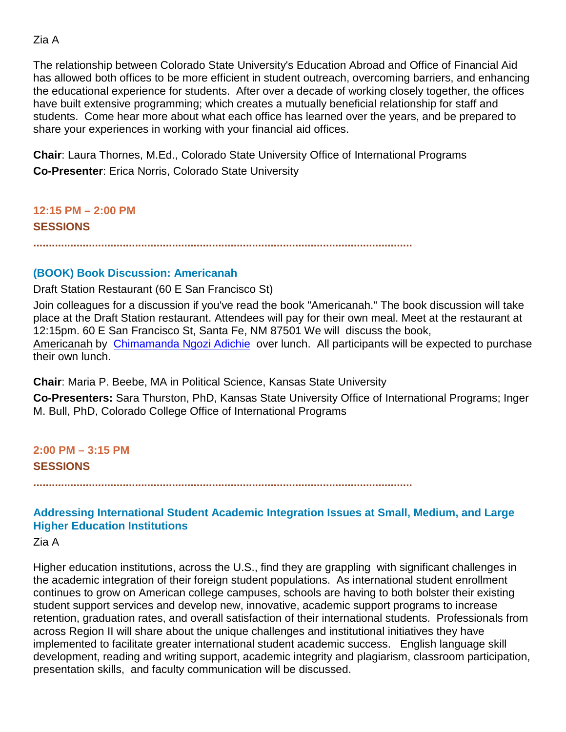## Zia A

The relationship between Colorado State University's Education Abroad and Office of Financial Aid has allowed both offices to be more efficient in student outreach, overcoming barriers, and enhancing the educational experience for students. After over a decade of working closely together, the offices have built extensive programming; which creates a mutually beneficial relationship for staff and students. Come hear more about what each office has learned over the years, and be prepared to share your experiences in working with your financial aid offices.

**Chair**: Laura Thornes, M.Ed., Colorado State University Office of International Programs **Co-Presenter**: Erica Norris, Colorado State University

**12:15 PM – 2:00 PM SESSIONS**

**...........................................................................................................................**

#### **(BOOK) Book Discussion: Americanah**

Draft Station Restaurant (60 E San Francisco St)

Join colleagues for a discussion if you've read the book "Americanah." The book discussion will take place at the Draft Station restaurant. Attendees will pay for their own meal. Meet at the restaurant at 12:15pm. 60 E San Francisco St, Santa Fe, NM 87501 We will discuss the book, Americanah by [Chimamanda Ngozi Adichie](https://www.goodreads.com/author/show/11291.Chimamanda_Ngozi_Adichie?from_search=true&search_version=service) over lunch. All participants will be expected to purchase their own lunch.

**Chair**: Maria P. Beebe, MA in Political Science, Kansas State University

**Co-Presenters:** Sara Thurston, PhD, Kansas State University Office of International Programs; Inger M. Bull, PhD, Colorado College Office of International Programs

**2:00 PM – 3:15 PM SESSIONS**

**...........................................................................................................................**

## **Addressing International Student Academic Integration Issues at Small, Medium, and Large Higher Education Institutions**

Zia A

Higher education institutions, across the U.S., find they are grappling with significant challenges in the academic integration of their foreign student populations. As international student enrollment continues to grow on American college campuses, schools are having to both bolster their existing student support services and develop new, innovative, academic support programs to increase retention, graduation rates, and overall satisfaction of their international students. Professionals from across Region II will share about the unique challenges and institutional initiatives they have implemented to facilitate greater international student academic success. English language skill development, reading and writing support, academic integrity and plagiarism, classroom participation, presentation skills, and faculty communication will be discussed.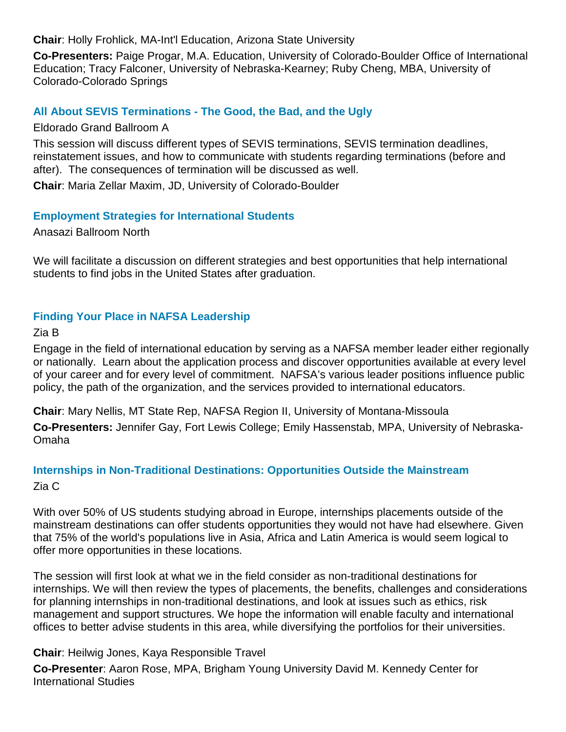**Chair**: Holly Frohlick, MA-Int'l Education, Arizona State University

**Co-Presenters:** Paige Progar, M.A. Education, University of Colorado-Boulder Office of International Education; Tracy Falconer, University of Nebraska-Kearney; Ruby Cheng, MBA, University of Colorado-Colorado Springs

## **All About SEVIS Terminations - The Good, the Bad, and the Ugly**

Eldorado Grand Ballroom A

This session will discuss different types of SEVIS terminations, SEVIS termination deadlines, reinstatement issues, and how to communicate with students regarding terminations (before and after). The consequences of termination will be discussed as well.

**Chair**: Maria Zellar Maxim, JD, University of Colorado-Boulder

## **Employment Strategies for International Students**

Anasazi Ballroom North

We will facilitate a discussion on different strategies and best opportunities that help international students to find jobs in the United States after graduation.

## **Finding Your Place in NAFSA Leadership**

Zia B

Engage in the field of international education by serving as a NAFSA member leader either regionally or nationally. Learn about the application process and discover opportunities available at every level of your career and for every level of commitment. NAFSA's various leader positions influence public policy, the path of the organization, and the services provided to international educators.

**Chair**: Mary Nellis, MT State Rep, NAFSA Region II, University of Montana-Missoula

**Co-Presenters:** Jennifer Gay, Fort Lewis College; Emily Hassenstab, MPA, University of Nebraska-Omaha

# **Internships in Non-Traditional Destinations: Opportunities Outside the Mainstream**

Zia C

With over 50% of US students studying abroad in Europe, internships placements outside of the mainstream destinations can offer students opportunities they would not have had elsewhere. Given that 75% of the world's populations live in Asia, Africa and Latin America is would seem logical to offer more opportunities in these locations.

The session will first look at what we in the field consider as non-traditional destinations for internships. We will then review the types of placements, the benefits, challenges and considerations for planning internships in non-traditional destinations, and look at issues such as ethics, risk management and support structures. We hope the information will enable faculty and international offices to better advise students in this area, while diversifying the portfolios for their universities.

## **Chair**: Heilwig Jones, Kaya Responsible Travel

**Co-Presenter**: Aaron Rose, MPA, Brigham Young University David M. Kennedy Center for International Studies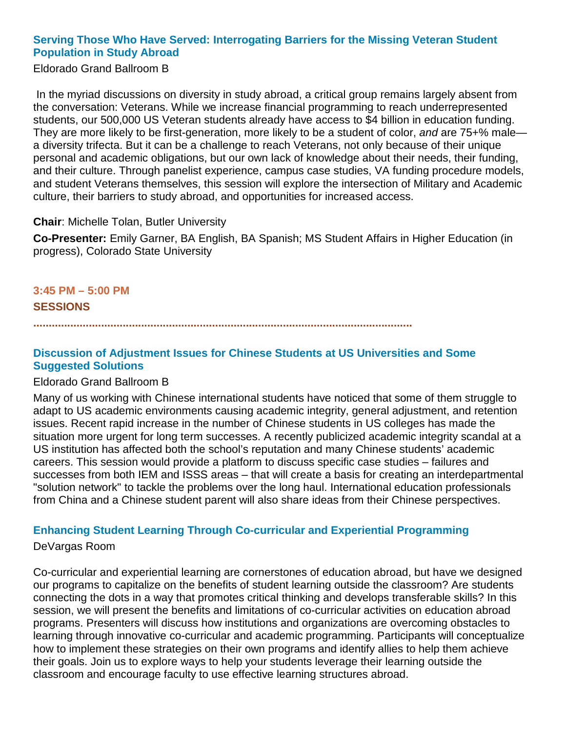## **Serving Those Who Have Served: Interrogating Barriers for the Missing Veteran Student Population in Study Abroad**

Eldorado Grand Ballroom B

In the myriad discussions on diversity in study abroad, a critical group remains largely absent from the conversation: Veterans. While we increase financial programming to reach underrepresented students, our 500,000 US Veteran students already have access to \$4 billion in education funding. They are more likely to be first-generation, more likely to be a student of color, *and* are 75+% male a diversity trifecta. But it can be a challenge to reach Veterans, not only because of their unique personal and academic obligations, but our own lack of knowledge about their needs, their funding, and their culture. Through panelist experience, campus case studies, VA funding procedure models, and student Veterans themselves, this session will explore the intersection of Military and Academic culture, their barriers to study abroad, and opportunities for increased access.

#### **Chair**: Michelle Tolan, Butler University

**Co-Presenter:** Emily Garner, BA English, BA Spanish; MS Student Affairs in Higher Education (in progress), Colorado State University

## **3:45 PM – 5:00 PM SESSIONS**

**...........................................................................................................................**

## **Discussion of Adjustment Issues for Chinese Students at US Universities and Some Suggested Solutions**

#### Eldorado Grand Ballroom B

Many of us working with Chinese international students have noticed that some of them struggle to adapt to US academic environments causing academic integrity, general adjustment, and retention issues. Recent rapid increase in the number of Chinese students in US colleges has made the situation more urgent for long term successes. A recently publicized academic integrity scandal at a US institution has affected both the school's reputation and many Chinese students' academic careers. This session would provide a platform to discuss specific case studies – failures and successes from both IEM and ISSS areas – that will create a basis for creating an interdepartmental "solution network" to tackle the problems over the long haul. International education professionals from China and a Chinese student parent will also share ideas from their Chinese perspectives.

## **Enhancing Student Learning Through Co-curricular and Experiential Programming**

#### DeVargas Room

Co-curricular and experiential learning are cornerstones of education abroad, but have we designed our programs to capitalize on the benefits of student learning outside the classroom? Are students connecting the dots in a way that promotes critical thinking and develops transferable skills? In this session, we will present the benefits and limitations of co-curricular activities on education abroad programs. Presenters will discuss how institutions and organizations are overcoming obstacles to learning through innovative co-curricular and academic programming. Participants will conceptualize how to implement these strategies on their own programs and identify allies to help them achieve their goals. Join us to explore ways to help your students leverage their learning outside the classroom and encourage faculty to use effective learning structures abroad.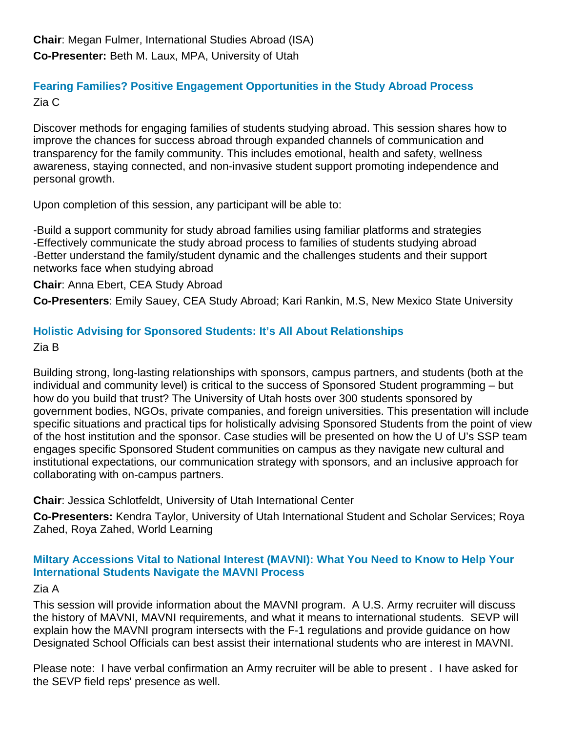## **Fearing Families? Positive Engagement Opportunities in the Study Abroad Process** Zia C

Discover methods for engaging families of students studying abroad. This session shares how to improve the chances for success abroad through expanded channels of communication and transparency for the family community. This includes emotional, health and safety, wellness awareness, staying connected, and non-invasive student support promoting independence and personal growth.

Upon completion of this session, any participant will be able to:

-Build a support community for study abroad families using familiar platforms and strategies -Effectively communicate the study abroad process to families of students studying abroad -Better understand the family/student dynamic and the challenges students and their support networks face when studying abroad

**Chair**: Anna Ebert, CEA Study Abroad

**Co-Presenters**: Emily Sauey, CEA Study Abroad; Kari Rankin, M.S, New Mexico State University

# **Holistic Advising for Sponsored Students: It's All About Relationships**

Zia B

Building strong, long-lasting relationships with sponsors, campus partners, and students (both at the individual and community level) is critical to the success of Sponsored Student programming – but how do you build that trust? The University of Utah hosts over 300 students sponsored by government bodies, NGOs, private companies, and foreign universities. This presentation will include specific situations and practical tips for holistically advising Sponsored Students from the point of view of the host institution and the sponsor. Case studies will be presented on how the U of U's SSP team engages specific Sponsored Student communities on campus as they navigate new cultural and institutional expectations, our communication strategy with sponsors, and an inclusive approach for collaborating with on-campus partners.

**Chair**: Jessica Schlotfeldt, University of Utah International Center

**Co-Presenters:** Kendra Taylor, University of Utah International Student and Scholar Services; Roya Zahed, Roya Zahed, World Learning

## **Miltary Accessions Vital to National Interest (MAVNI): What You Need to Know to Help Your International Students Navigate the MAVNI Process**

Zia A

This session will provide information about the MAVNI program. A U.S. Army recruiter will discuss the history of MAVNI, MAVNI requirements, and what it means to international students. SEVP will explain how the MAVNI program intersects with the F-1 regulations and provide guidance on how Designated School Officials can best assist their international students who are interest in MAVNI.

Please note: I have verbal confirmation an Army recruiter will be able to present . I have asked for the SEVP field reps' presence as well.